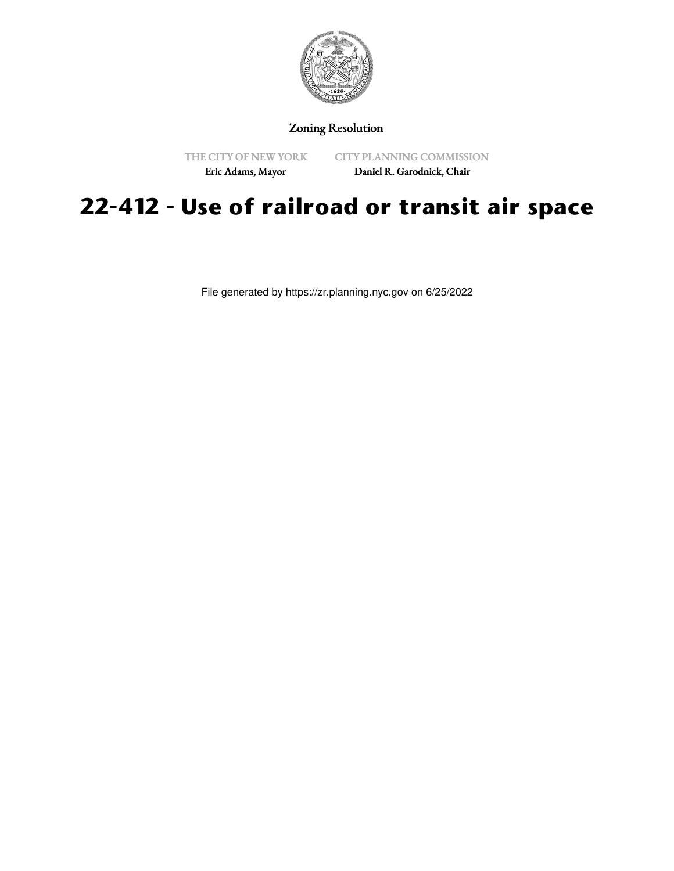

## Zoning Resolution

THE CITY OF NEW YORK

CITY PLANNING COMMISSION

Eric Adams, Mayor

Daniel R. Garodnick, Chair

## **22-412 - Use of railroad or transit air space**

File generated by https://zr.planning.nyc.gov on 6/25/2022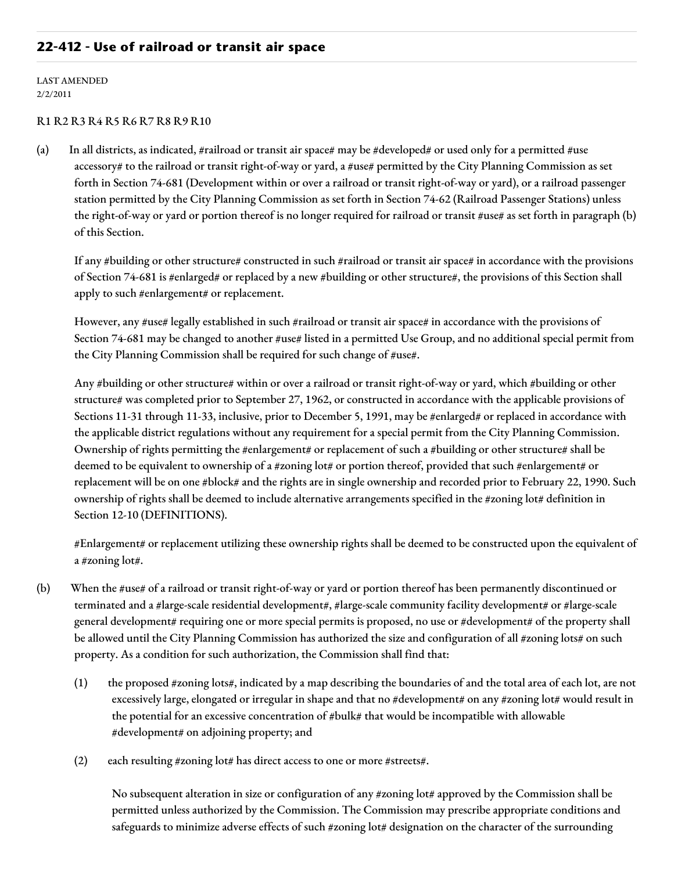## **22-412 - Use of railroad or transit air space**

LAST AMENDED 2/2/2011

## R1 R2 R3 R4 R5 R6 R7 R8 R9 R10

(a) In all districts, as indicated, #railroad or transit air space# may be #developed# or used only for a permitted #use accessory# to the railroad or transit right-of-way or yard, a #use# permitted by the City Planning Commission as set forth in Section 74-681 (Development within or over a railroad or transit right-of-way or yard), or a railroad passenger station permitted by the City Planning Commission as set forth in Section 74-62 (Railroad Passenger Stations) unless the right-of-way or yard or portion thereof is no longer required for railroad or transit #use# as set forth in paragraph (b) of this Section.

If any #building or other structure# constructed in such #railroad or transit air space# in accordance with the provisions of Section 74-681 is #enlarged# or replaced by a new #building or other structure#, the provisions of this Section shall apply to such #enlargement# or replacement.

However, any #use# legally established in such #railroad or transit air space# in accordance with the provisions of Section 74-681 may be changed to another #use# listed in a permitted Use Group, and no additional special permit from the City Planning Commission shall be required for such change of #use#.

Any #building or other structure# within or over a railroad or transit right-of-way or yard, which #building or other structure# was completed prior to September 27, 1962, or constructed in accordance with the applicable provisions of Sections 11-31 through 11-33, inclusive, prior to December 5, 1991, may be #enlarged# or replaced in accordance with the applicable district regulations without any requirement for a special permit from the City Planning Commission. Ownership of rights permitting the #enlargement# or replacement of such a #building or other structure# shall be deemed to be equivalent to ownership of a #zoning lot# or portion thereof, provided that such #enlargement# or replacement will be on one #block# and the rights are in single ownership and recorded prior to February 22, 1990. Such ownership of rights shall be deemed to include alternative arrangements specified in the #zoning lot# definition in Section 12-10 (DEFINITIONS).

#Enlargement# or replacement utilizing these ownership rights shall be deemed to be constructed upon the equivalent of a #zoning lot#.

- (b) When the #use# of a railroad or transit right-of-way or yard or portion thereof has been permanently discontinued or terminated and a #large-scale residential development#, #large-scale community facility development# or #large-scale general development# requiring one or more special permits is proposed, no use or #development# of the property shall be allowed until the City Planning Commission has authorized the size and configuration of all #zoning lots# on such property. As a condition for such authorization, the Commission shall find that:
	- (1) the proposed #zoning lots#, indicated by a map describing the boundaries of and the total area of each lot, are not excessively large, elongated or irregular in shape and that no #development# on any #zoning lot# would result in the potential for an excessive concentration of #bulk# that would be incompatible with allowable #development# on adjoining property; and
	- (2) each resulting #zoning lot# has direct access to one or more #streets#.

No subsequent alteration in size or configuration of any #zoning lot# approved by the Commission shall be permitted unless authorized by the Commission. The Commission may prescribe appropriate conditions and safeguards to minimize adverse effects of such #zoning lot# designation on the character of the surrounding